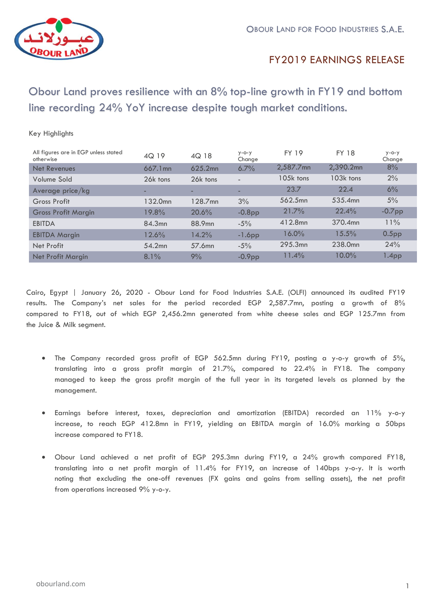

Key Highlights

### FY2017 EARNINGS RELEASE FY2019

 Obour Land proves resilience with an 8% top-line growth in FY19 and bottom line recording 24% YoY increase despite tough market conditions.

| All figures are in EGP unless stated<br>otherwise | 4Q 19    | 4Q 18    | $y - 0 - y$<br>Change    | <b>FY 19</b> | <b>FY 18</b>        | $y - 0 - y$<br>Change |
|---------------------------------------------------|----------|----------|--------------------------|--------------|---------------------|-----------------------|
| Net Revenues                                      | 667.1mn  | 625.2mn  | 6.7%                     | 2,587.7mn    | 2,390.2mn           | 8%                    |
| Volume Sold                                       | 26k tons | 26k tons | $\overline{\phantom{a}}$ | 105k tons    | 103k tons           | 2%                    |
| Average price/kg                                  | -        | -        | -                        | 23.7         | 22.4                | 6%                    |
| Gross Profit                                      | 132.0mn  | 128.7mn  | 3%                       | 562.5mn      | 535.4mn             | 5%                    |
| <b>Gross Profit Margin</b>                        | 19.8%    | 20.6%    | $-0.8$ pp                | 21.7%        | 22.4%               | $-0.7$ pp             |
| <b>EBITDA</b>                                     | 84.3mn   | 88.9mn   | $-5%$                    | 412.8mn      | 370.4mn             | 11%                   |
| <b>EBITDA Margin</b>                              | 12.6%    | 14.2%    | $-1.6$ pp                | $16.0\%$     | 15.5%               | 0.5 <sub>pp</sub>     |
| Net Profit                                        | 54.2mn   | 57.6mn   | $-5%$                    | 295.3mn      | 238.0 <sub>mn</sub> | 24%                   |
| <b>Net Profit Margin</b>                          | $8.1\%$  | 9%       | $-0.9pp$                 | 11.4%        | $10.0\%$            | 1.4 <sub>pp</sub>     |

Cairo, Egypt | January 26, 2020 - Obour Land for Food Industries S.A.E. (OLFI) announced its audited FY19 results. The Company's net sales for the period recorded EGP 2,587.7mn, posting a growth of 8% compared to FY18, out of which EGP 2,456.2mn generated from white cheese sales and EGP 125.7mn from the Juice & Milk segment.

- The Company recorded gross profit of EGP 562.5mn during FY19, posting a y-o-y growth of 5%, translating into a gross profit margin of 21.7%, compared to 22.4% in FY18. The company managed to keep the gross profit margin of the full year in its targeted levels as planned by the management.
- Earnings before interest, taxes, depreciation and amortization (EBITDA) recorded an 11% y-o-y increase, to reach EGP 412.8mn in FY19, yielding an EBITDA margin of 16.0% marking a 50bps increase compared to FY18.
- Obour Land achieved a net profit of EGP 295.3mn during FY19, a 24% growth compared FY18, translating into a net profit margin of 11.4% for FY19, an increase of 140bps y-o-y. It is worth noting that excluding the one-off revenues (FX gains and gains from selling assets), the net profit from operations increased 9% y-o-y.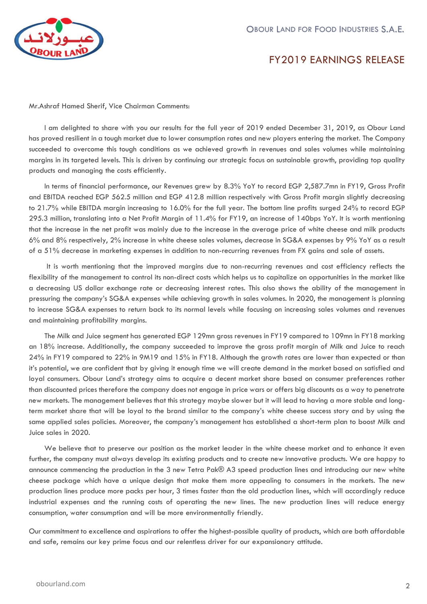

# FY2017 EARNINGS RELEASE FY2019

Mr.Ashraf Hamed Sherif, Vice Chairman Comments:

I am delighted to share with you our results for the full year of 2019 ended December 31, 2019, as Obour Land has proved resilient in a tough market due to lower consumption rates and new players entering the market. The Company succeeded to overcome this tough conditions as we achieved growth in revenues and sales volumes while maintaining margins in its targeted levels. This is driven by continuing our strategic focus on sustainable growth, providing top quality products and managing the costs efficiently.

In terms of financial performance, our Revenues grew by 8.3% YoY to record EGP 2,587.7mn in FY19, Gross Profit and EBITDA reached EGP 562.5 million and EGP 412.8 million respectively with Gross Profit margin slightly decreasing to 21.7% while EBITDA margin increasing to 16.0% for the full year. The bottom line profits surged 24% to record EGP 295.3 million, translating into a Net Profit Margin of 11.4% for FY19, an increase of 140bps YoY. It is worth mentioning that the increase in the net profit was mainly due to the increase in the average price of white cheese and milk products 6% and 8% respectively, 2% increase in white cheese sales volumes, decrease in SG&A expenses by 9% YoY as a result of a 51% decrease in marketing expenses in addition to non-recurring revenues from FX gains and sale of assets.

It is worth mentioning that the improved margins due to non-recurring revenues and cost efficiency reflects the flexibility of the management to control its non-direct costs which helps us to capitalize on opportunities in the market like a decreasing US dollar exchange rate or decreasing interest rates. This also shows the ability of the management in pressuring the company's SG&A expenses while achieving growth in sales volumes. In 2020, the management is planning to increase SG&A expenses to return back to its normal levels while focusing on increasing sales volumes and revenues and maintaining profitability margins.

The Milk and Juice segment has generated EGP 129mn gross revenues in FY19 compared to 109mn in FY18 marking an 18% increase. Additionally, the company succeeded to improve the gross profit margin of Milk and Juice to reach 24% in FY19 compared to 22% in 9M19 and 15% in FY18. Although the growth rates are lower than expected or than it's potential, we are confident that by giving it enough time we will create demand in the market based on satisfied and loyal consumers. Obour Land's strategy aims to acquire a decent market share based on consumer preferences rather than discounted prices therefore the company does not engage in price wars or offers big discounts as a way to penetrate new markets. The management believes that this strategy maybe slower but it will lead to having a more stable and longterm market share that will be loyal to the brand similar to the company's white cheese success story and by using the same applied sales policies. Moreover, the company's management has established a short-term plan to boost Milk and Juice sales in 2020.

We believe that to preserve our position as the market leader in the white cheese market and to enhance it even further, the company must always develop its existing products and to create new innovative products. We are happy to announce commencing the production in the 3 new Tetra Pak® A3 speed production lines and introducing our new white cheese package which have a unique design that make them more appealing to consumers in the markets. The new production lines produce more packs per hour, 3 times faster than the old production lines, which will accordingly reduce industrial expenses and the running costs of operating the new lines. The new production lines will reduce energy consumption, water consumption and will be more environmentally friendly.

Our commitment to excellence and aspirations to offer the highest-possible quality of products, which are both affordable and safe, remains our key prime focus and our relentless driver for our expansionary attitude.